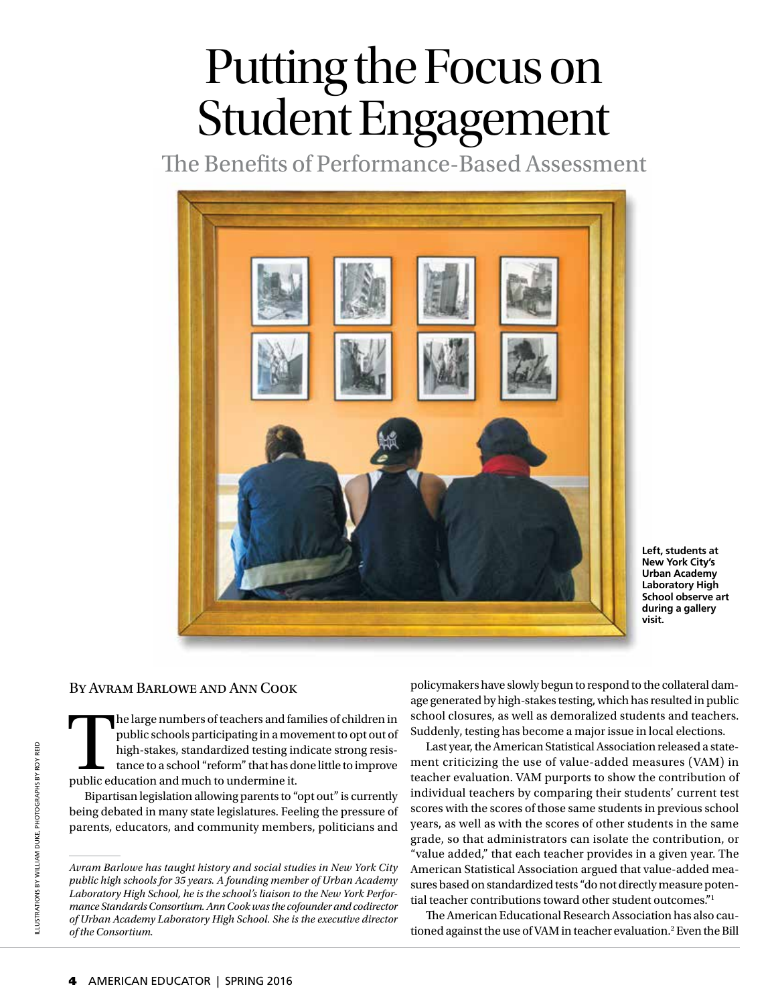# Putting the Focus on Student Engagement

The Benefits of Performance-Based Assessment



**Left, students at New York City's Urban Academy Laboratory High School observe art during a gallery visit.** 

### By Avram Barlowe and Ann Cook

The large numbers of teachers and families of children in public schools participating in a movement to opt out of high-stakes, standardized testing indicate strong resistance to a school "reform" that has done little to i public schools participating in a movement to opt out of high-stakes, standardized testing indicate strong resistance to a school "reform" that has done little to improve public education and much to undermine it.

Bipartisan legislation allowing parents to "opt out" is currently being debated in many state legislatures. Feeling the pressure of parents, educators, and community members, politicians and policymakers have slowly begun to respond to the collateral damage generated by high-stakes testing, which has resulted in public school closures, as well as demoralized students and teachers. Suddenly, testing has become a major issue in local elections.

Last year, the American Statistical Association released a statement criticizing the use of value-added measures (VAM) in teacher evaluation. VAM purports to show the contribution of individual teachers by comparing their students' current test scores with the scores of those same students in previous school years, as well as with the scores of other students in the same grade, so that administrators can isolate the contribution, or "value added," that each teacher provides in a given year. The American Statistical Association argued that value-added measures based on standardized tests "do not directly measure potential teacher contributions toward other student outcomes."1

e American Educational Research Association has also cautioned against the use of VAM in teacher evaluation.<sup>2</sup> Even the Bill

*Avram Barlowe has taught history and social studies in New York City public high schools for 35 years. A founding member of Urban Academy Laboratory High School, he is the school's liaison to the New York Performance Standards Consortium. Ann Cook was the cofounder and codirector of Urban Academy Laboratory High School. She is the executive director of the Consortium.*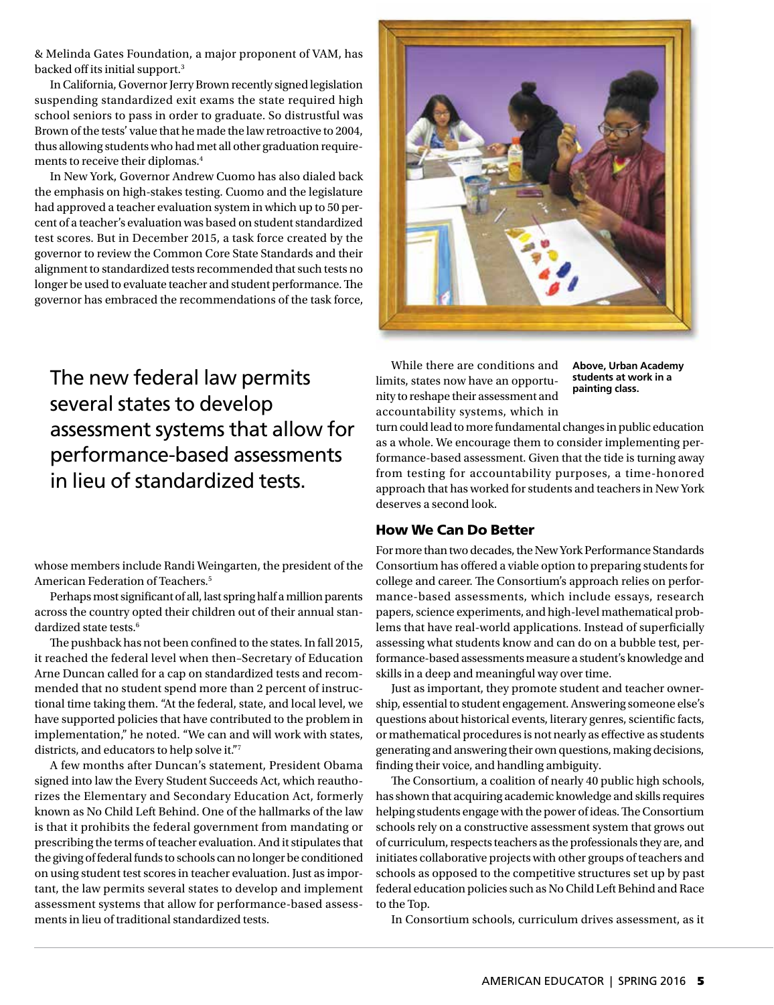& Melinda Gates Foundation, a major proponent of VAM, has backed off its initial support. $3$ 

In California, Governor Jerry Brown recently signed legislation suspending standardized exit exams the state required high school seniors to pass in order to graduate. So distrustful was Brown of the tests' value that he made the law retroactive to 2004, thus allowing students who had met all other graduation requirements to receive their diplomas.4

In New York, Governor Andrew Cuomo has also dialed back the emphasis on high-stakes testing. Cuomo and the legislature had approved a teacher evaluation system in which up to 50 percent of a teacher's evaluation was based on student standardized test scores. But in December 2015, a task force created by the governor to review the Common Core State Standards and their alignment to standardized tests recommended that such tests no longer be used to evaluate teacher and student performance. The governor has embraced the recommendations of the task force,

### The new federal law permits several states to develop assessment systems that allow for performance-based assessments in lieu of standardized tests.

whose members include Randi Weingarten, the president of the American Federation of Teachers.5

Perhaps most significant of all, last spring half a million parents across the country opted their children out of their annual standardized state tests.<sup>6</sup>

The pushback has not been confined to the states. In fall 2015, it reached the federal level when then–Secretary of Education Arne Duncan called for a cap on standardized tests and recommended that no student spend more than 2 percent of instructional time taking them. "At the federal, state, and local level, we have supported policies that have contributed to the problem in implementation," he noted. "We can and will work with states, districts, and educators to help solve it."7

A few months after Duncan's statement, President Obama signed into law the Every Student Succeeds Act, which reauthorizes the Elementary and Secondary Education Act, formerly known as No Child Left Behind. One of the hallmarks of the law is that it prohibits the federal government from mandating or prescribing the terms of teacher evaluation. And it stipulates that the giving of federal funds to schools can no longer be conditioned on using student test scores in teacher evaluation. Just as important, the law permits several states to develop and implement assessment systems that allow for performance-based assessments in lieu of traditional standardized tests.



While there are conditions and limits, states now have an opportunity to reshape their assessment and accountability systems, which in

**Above, Urban Academy students at work in a painting class.**

turn could lead to more fundamental changes in public education as a whole. We encourage them to consider implementing performance-based assessment. Given that the tide is turning away from testing for accountability purposes, a time-honored approach that has worked for students and teachers in New York deserves a second look.

#### How We Can Do Better

For more than two decades, the New York Performance Standards Consortium has offered a viable option to preparing students for college and career. The Consortium's approach relies on performance-based assessments, which include essays, research papers, science experiments, and high-level mathematical problems that have real-world applications. Instead of superficially assessing what students know and can do on a bubble test, performance-based assessments measure a student's knowledge and skills in a deep and meaningful way over time.

Just as important, they promote student and teacher ownership, essential to student engagement. Answering someone else's questions about historical events, literary genres, scientific facts, or mathematical procedures is not nearly as effective as students generating and answering their own questions, making decisions, finding their voice, and handling ambiguity.

The Consortium, a coalition of nearly 40 public high schools, has shown that acquiring academic knowledge and skills requires helping students engage with the power of ideas. The Consortium schools rely on a constructive assessment system that grows out of curriculum, respects teachers as the professionals they are, and initiates collaborative projects with other groups of teachers and schools as opposed to the competitive structures set up by past federal education policies such as No Child Left Behind and Race to the Top.

In Consortium schools, curriculum drives assessment, as it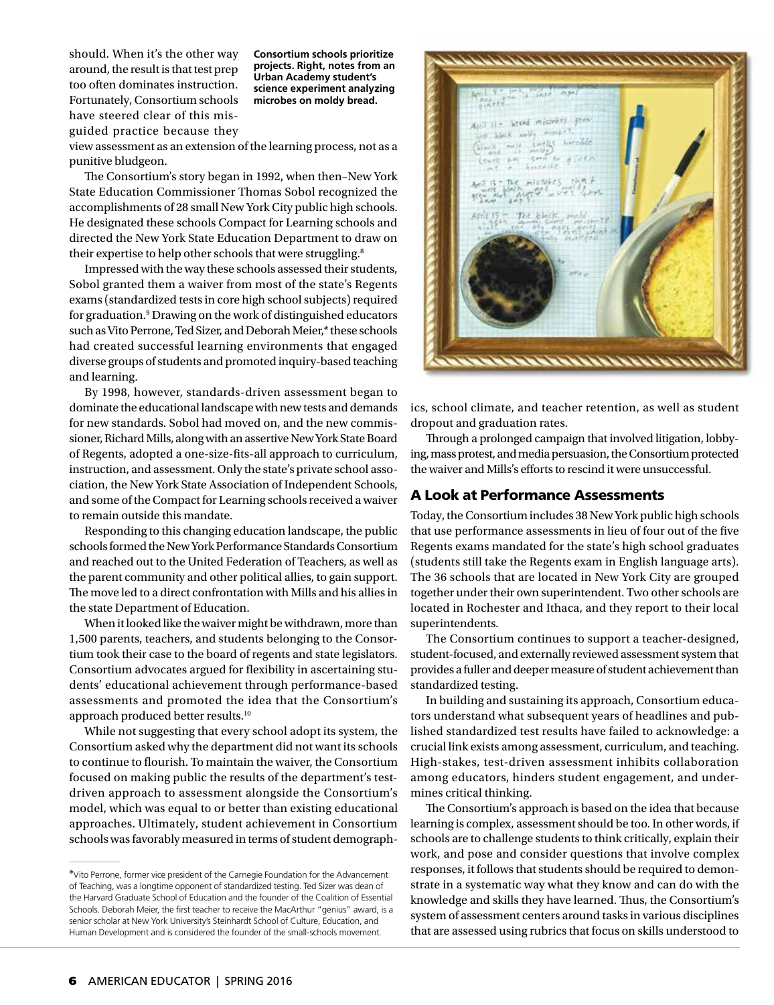should. When it's the other way around, the result is that test prep too often dominates instruction. Fortunately, Consortium schools have steered clear of this misguided practice because they

**Consortium schools prioritize projects. Right, notes from an Urban Academy student's science experiment analyzing microbes on moldy bread.**

view assessment as an extension of the learning process, not as a punitive bludgeon.

The Consortium's story began in 1992, when then–New York State Education Commissioner Thomas Sobol recognized the accomplishments of 28 small New York City public high schools. He designated these schools Compact for Learning schools and directed the New York State Education Department to draw on their expertise to help other schools that were struggling.<sup>8</sup>

Impressed with the way these schools assessed their students, Sobol granted them a waiver from most of the state's Regents exams (standardized tests in core high school subjects) required for graduation.9 Drawing on the work of distinguished educators such as Vito Perrone, Ted Sizer, and Deborah Meier,\* these schools had created successful learning environments that engaged diverse groups of students and promoted inquiry-based teaching and learning.

By 1998, however, standards-driven assessment began to dominate the educational landscape with new tests and demands for new standards. Sobol had moved on, and the new commissioner, Richard Mills, along with an assertive New York State Board of Regents, adopted a one-size-fits-all approach to curriculum, instruction, and assessment. Only the state's private school association, the New York State Association of Independent Schools, and some of the Compact for Learning schools received a waiver to remain outside this mandate.

Responding to this changing education landscape, the public schools formed the New York Performance Standards Consortium and reached out to the United Federation of Teachers, as well as the parent community and other political allies, to gain support. The move led to a direct confrontation with Mills and his allies in the state Department of Education.

When it looked like the waiver might be withdrawn, more than 1,500 parents, teachers, and students belonging to the Consortium took their case to the board of regents and state legislators. Consortium advocates argued for flexibility in ascertaining students' educational achievement through performance-based assessments and promoted the idea that the Consortium's approach produced better results.10

While not suggesting that every school adopt its system, the Consortium asked why the department did not want its schools to continue to flourish. To maintain the waiver, the Consortium focused on making public the results of the department's testdriven approach to assessment alongside the Consortium's model, which was equal to or better than existing educational approaches. Ultimately, student achievement in Consortium schools was favorably measured in terms of student demograph-



ics, school climate, and teacher retention, as well as student dropout and graduation rates.

Through a prolonged campaign that involved litigation, lobbying, mass protest, and media persuasion, the Consortium protected the waiver and Mills's efforts to rescind it were unsuccessful.

### A Look at Performance Assessments

Today, the Consortium includes 38 New York public high schools that use performance assessments in lieu of four out of the five Regents exams mandated for the state's high school graduates (students still take the Regents exam in English language arts). The 36 schools that are located in New York City are grouped together under their own superintendent. Two other schools are located in Rochester and Ithaca, and they report to their local superintendents.

The Consortium continues to support a teacher-designed, student-focused, and externally reviewed assessment system that provides a fuller and deeper measure of student achievement than standardized testing.

In building and sustaining its approach, Consortium educators understand what subsequent years of headlines and published standardized test results have failed to acknowledge: a crucial link exists among assessment, curriculum, and teaching. High-stakes, test-driven assessment inhibits collaboration among educators, hinders student engagement, and undermines critical thinking.

The Consortium's approach is based on the idea that because learning is complex, assessment should be too. In other words, if schools are to challenge students to think critically, explain their work, and pose and consider questions that involve complex responses, it follows that students should be required to demonstrate in a systematic way what they know and can do with the knowledge and skills they have learned. Thus, the Consortium's system of assessment centers around tasks in various disciplines that are assessed using rubrics that focus on skills understood to

<sup>\*</sup>Vito Perrone, former vice president of the Carnegie Foundation for the Advancement of Teaching, was a longtime opponent of standardized testing. Ted Sizer was dean of the Harvard Graduate School of Education and the founder of the Coalition of Essential Schools. Deborah Meier, the first teacher to receive the MacArthur "genius" award, is a senior scholar at New York University's Steinhardt School of Culture, Education, and Human Development and is considered the founder of the small-schools movement.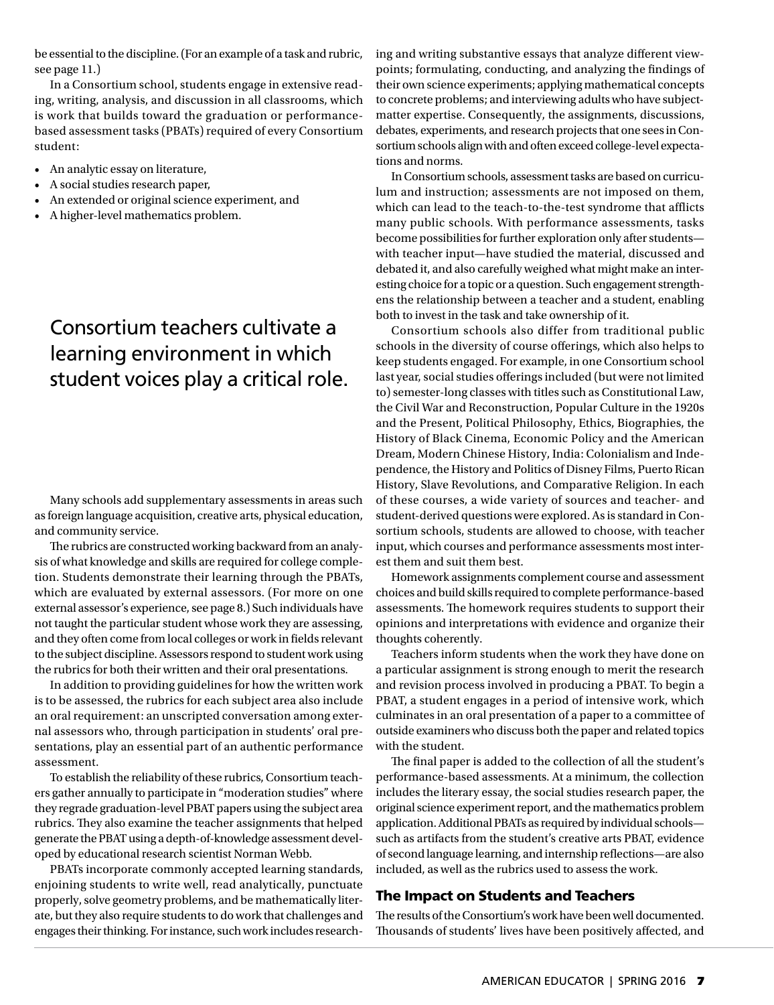be essential to the discipline. (For an example of a task and rubric, see page 11.)

In a Consortium school, students engage in extensive reading, writing, analysis, and discussion in all classrooms, which is work that builds toward the graduation or performancebased assessment tasks (PBATs) required of every Consortium student:

- An analytic essay on literature,
- A social studies research paper,
- An extended or original science experiment, and
- A higher-level mathematics problem.

### Consortium teachers cultivate a learning environment in which student voices play a critical role.

Many schools add supplementary assessments in areas such as foreign language acquisition, creative arts, physical education, and community service.

The rubrics are constructed working backward from an analysis of what knowledge and skills are required for college completion. Students demonstrate their learning through the PBATs, which are evaluated by external assessors. (For more on one external assessor's experience, see page 8.) Such individuals have not taught the particular student whose work they are assessing, and they often come from local colleges or work in fields relevant to the subject discipline. Assessors respond to student work using the rubrics for both their written and their oral presentations.

In addition to providing guidelines for how the written work is to be assessed, the rubrics for each subject area also include an oral requirement: an unscripted conversation among external assessors who, through participation in students' oral presentations, play an essential part of an authentic performance assessment.

To establish the reliability of these rubrics, Consortium teachers gather annually to participate in "moderation studies" where they regrade graduation-level PBAT papers using the subject area rubrics. They also examine the teacher assignments that helped generate the PBAT using a depth-of-knowledge assessment developed by educational research scientist Norman Webb.

PBATs incorporate commonly accepted learning standards, enjoining students to write well, read analytically, punctuate properly, solve geometry problems, and be mathematically literate, but they also require students to do work that challenges and engages their thinking. For instance, such work includes researching and writing substantive essays that analyze different viewpoints; formulating, conducting, and analyzing the findings of their own science experiments; applying mathematical concepts to concrete problems; and interviewing adults who have subjectmatter expertise. Consequently, the assignments, discussions, debates, experiments, and research projects that one sees in Consortium schools align with and often exceed college-level expectations and norms.

In Consortium schools, assessment tasks are based on curriculum and instruction; assessments are not imposed on them, which can lead to the teach-to-the-test syndrome that afflicts many public schools. With performance assessments, tasks become possibilities for further exploration only after students with teacher input—have studied the material, discussed and debated it, and also carefully weighed what might make an interesting choice for a topic or a question. Such engagement strengthens the relationship between a teacher and a student, enabling both to invest in the task and take ownership of it.

Consortium schools also differ from traditional public schools in the diversity of course offerings, which also helps to keep students engaged. For example, in one Consortium school last year, social studies offerings included (but were not limited to) semester-long classes with titles such as Constitutional Law, the Civil War and Reconstruction, Popular Culture in the 1920s and the Present, Political Philosophy, Ethics, Biographies, the History of Black Cinema, Economic Policy and the American Dream, Modern Chinese History, India: Colonialism and Independence, the History and Politics of Disney Films, Puerto Rican History, Slave Revolutions, and Comparative Religion. In each of these courses, a wide variety of sources and teacher- and student-derived questions were explored. As is standard in Consortium schools, students are allowed to choose, with teacher input, which courses and performance assessments most interest them and suit them best.

Homework assignments complement course and assessment choices and build skills required to complete performance-based assessments. The homework requires students to support their opinions and interpretations with evidence and organize their thoughts coherently.

Teachers inform students when the work they have done on a particular assignment is strong enough to merit the research and revision process involved in producing a PBAT. To begin a PBAT, a student engages in a period of intensive work, which culminates in an oral presentation of a paper to a committee of outside examiners who discuss both the paper and related topics with the student.

The final paper is added to the collection of all the student's performance-based assessments. At a minimum, the collection includes the literary essay, the social studies research paper, the original science experiment report, and the mathematics problem application. Additional PBATs as required by individual schools such as artifacts from the student's creative arts PBAT, evidence of second language learning, and internship reflections—are also included, as well as the rubrics used to assess the work.

### The Impact on Students and Teachers

The results of the Consortium's work have been well documented. Thousands of students' lives have been positively affected, and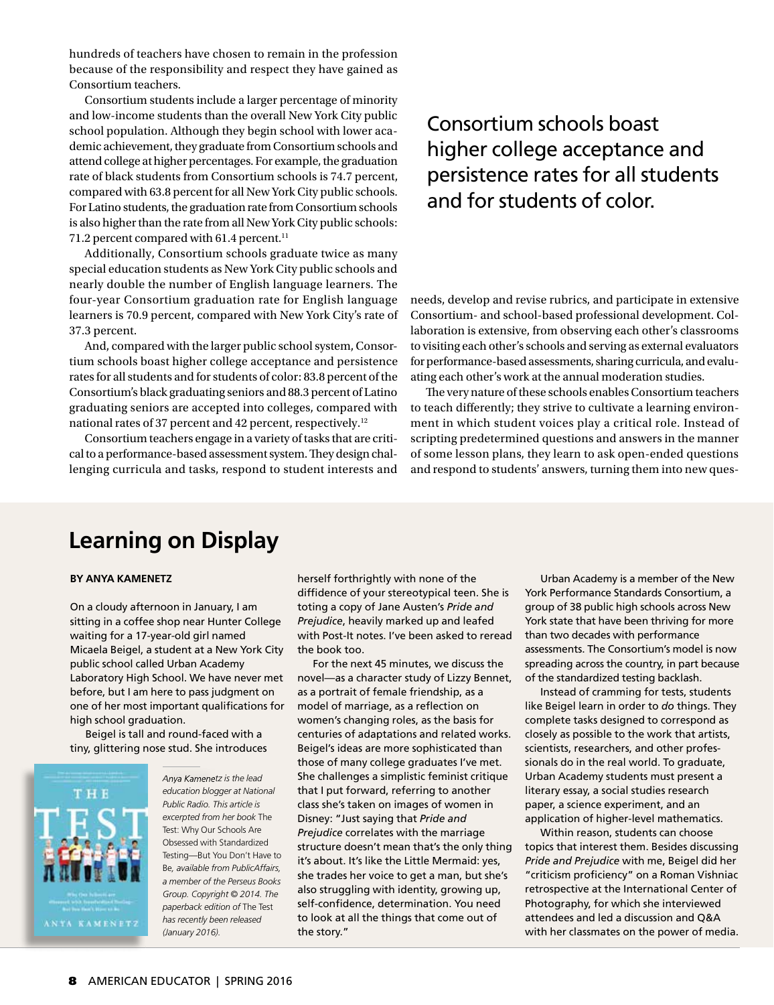hundreds of teachers have chosen to remain in the profession because of the responsibility and respect they have gained as Consortium teachers.

Consortium students include a larger percentage of minority and low-income students than the overall New York City public school population. Although they begin school with lower academic achievement, they graduate from Consortium schools and attend college at higher percentages. For example, the graduation rate of black students from Consortium schools is 74.7 percent, compared with 63.8 percent for all New York City public schools. For Latino students, the graduation rate from Consortium schools is also higher than the rate from all New York City public schools: 71.2 percent compared with 61.4 percent.<sup>11</sup>

Additionally, Consortium schools graduate twice as many special education students as New York City public schools and nearly double the number of English language learners. The four-year Consortium graduation rate for English language learners is 70.9 percent, compared with New York City's rate of 37.3 percent.

And, compared with the larger public school system, Consortium schools boast higher college acceptance and persistence rates for all students and for students of color: 83.8 percent of the Consortium's black graduating seniors and 88.3 percent of Latino graduating seniors are accepted into colleges, compared with national rates of 37 percent and 42 percent, respectively.12

Consortium teachers engage in a variety of tasks that are critical to a performance-based assessment system. They design challenging curricula and tasks, respond to student interests and

## Consortium schools boast higher college acceptance and persistence rates for all students and for students of color.

needs, develop and revise rubrics, and participate in extensive Consortium- and school-based professional development. Collaboration is extensive, from observing each other's classrooms to visiting each other's schools and serving as external evaluators for performance-based assessments, sharing curricula, and evaluating each other's work at the annual moderation studies.

The very nature of these schools enables Consortium teachers to teach differently; they strive to cultivate a learning environment in which student voices play a critical role. Instead of scripting predetermined questions and answers in the manner of some lesson plans, they learn to ask open-ended questions and respond to students' answers, turning them into new ques-

# **Learning on Display**

#### **BY ANYA KAMENETZ**

On a cloudy afternoon in January, I am sitting in a coffee shop near Hunter College waiting for a 17-year-old girl named Micaela Beigel, a student at a New York City public school called Urban Academy Laboratory High School. We have never met before, but I am here to pass judgment on one of her most important qualifications for high school graduation.

Beigel is tall and round-faced with a tiny, glittering nose stud. She introduces



*Anya Kamenetz is the lead education blogger at National Public Radio. This article is excerpted from her book* The Test: Why Our Schools Are Obsessed with Standardized Testing—But You Don't Have to Be*, available from PublicAffairs, a member of the Perseus Books Group. Copyright © 2014. The paperback edition of* The Test *has recently been released (January 2016).*

herself forthrightly with none of the difdence of your stereotypical teen. She is toting a copy of Jane Austen's *Pride and Prejudice*, heavily marked up and leafed with Post-It notes. I've been asked to reread the book too.

For the next 45 minutes, we discuss the novel—as a character study of Lizzy Bennet, as a portrait of female friendship, as a model of marriage, as a reflection on women's changing roles, as the basis for centuries of adaptations and related works. Beigel's ideas are more sophisticated than those of many college graduates I've met. She challenges a simplistic feminist critique that I put forward, referring to another class she's taken on images of women in Disney: "Just saying that *Pride and Prejudice* correlates with the marriage structure doesn't mean that's the only thing it's about. It's like the Little Mermaid: yes, she trades her voice to get a man, but she's also struggling with identity, growing up, self-confidence, determination. You need to look at all the things that come out of the story."

Urban Academy is a member of the New York Performance Standards Consortium, a group of 38 public high schools across New York state that have been thriving for more than two decades with performance assessments. The Consortium's model is now spreading across the country, in part because of the standardized testing backlash.

Instead of cramming for tests, students like Beigel learn in order to *do* things. They complete tasks designed to correspond as closely as possible to the work that artists, scientists, researchers, and other professionals do in the real world. To graduate, Urban Academy students must present a literary essay, a social studies research paper, a science experiment, and an application of higher-level mathematics.

Within reason, students can choose topics that interest them. Besides discussing *Pride and Prejudice* with me, Beigel did her "criticism proficiency" on a Roman Vishniac retrospective at the International Center of Photography, for which she interviewed attendees and led a discussion and Q&A with her classmates on the power of media.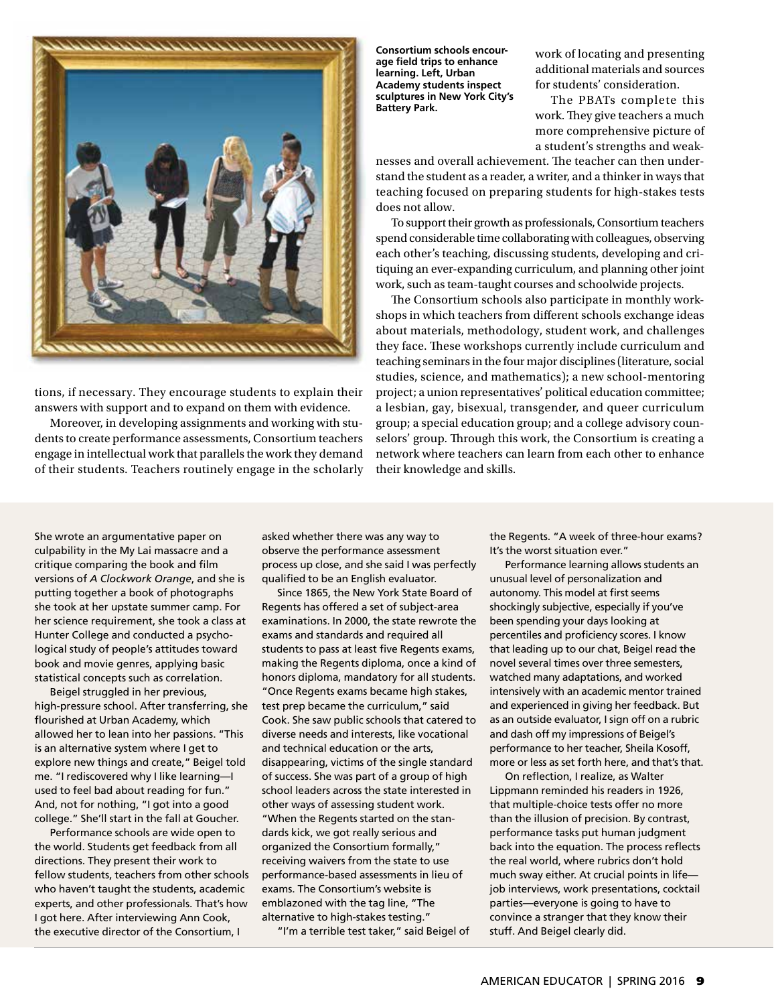

tions, if necessary. They encourage students to explain their answers with support and to expand on them with evidence.

Moreover, in developing assignments and working with students to create performance assessments, Consortium teachers engage in intellectual work that parallels the work they demand of their students. Teachers routinely engage in the scholarly

**Consortium schools encour**age field trips to enhance **learning. Left, Urban Academy students inspect sculptures in New York City's Battery Park.** 

work of locating and presenting additional materials and sources for students' consideration.

The PBATs complete this work. They give teachers a much more comprehensive picture of a student's strengths and weak-

nesses and overall achievement. The teacher can then understand the student as a reader, a writer, and a thinker in ways that teaching focused on preparing students for high-stakes tests does not allow.

To support their growth as professionals, Consortium teachers spend considerable time collaborating with colleagues, observing each other's teaching, discussing students, developing and critiquing an ever-expanding curriculum, and planning other joint work, such as team-taught courses and schoolwide projects.

The Consortium schools also participate in monthly workshops in which teachers from different schools exchange ideas about materials, methodology, student work, and challenges they face. These workshops currently include curriculum and teaching seminars in the four major disciplines (literature, social studies, science, and mathematics); a new school-mentoring project; a union representatives' political education committee; a lesbian, gay, bisexual, transgender, and queer curriculum group; a special education group; and a college advisory counselors' group. Through this work, the Consortium is creating a network where teachers can learn from each other to enhance their knowledge and skills.

She wrote an argumentative paper on culpability in the My Lai massacre and a critique comparing the book and film versions of *A Clockwork Orange*, and she is putting together a book of photographs she took at her upstate summer camp. For her science requirement, she took a class at Hunter College and conducted a psychological study of people's attitudes toward book and movie genres, applying basic statistical concepts such as correlation.

Beigel struggled in her previous, high-pressure school. After transferring, she flourished at Urban Academy, which allowed her to lean into her passions. "This is an alternative system where I get to explore new things and create," Beigel told me. "I rediscovered why I like learning—I used to feel bad about reading for fun." And, not for nothing, "I got into a good college." She'll start in the fall at Goucher.

Performance schools are wide open to the world. Students get feedback from all directions. They present their work to fellow students, teachers from other schools who haven't taught the students, academic experts, and other professionals. That's how I got here. After interviewing Ann Cook, the executive director of the Consortium, I

asked whether there was any way to observe the performance assessment process up close, and she said I was perfectly qualified to be an English evaluator.

Since 1865, the New York State Board of Regents has offered a set of subject-area examinations. In 2000, the state rewrote the exams and standards and required all students to pass at least five Regents exams, making the Regents diploma, once a kind of honors diploma, mandatory for all students. "Once Regents exams became high stakes, test prep became the curriculum," said Cook. She saw public schools that catered to diverse needs and interests, like vocational and technical education or the arts, disappearing, victims of the single standard of success. She was part of a group of high school leaders across the state interested in other ways of assessing student work. "When the Regents started on the standards kick, we got really serious and organized the Consortium formally," receiving waivers from the state to use performance-based assessments in lieu of exams. The Consortium's website is emblazoned with the tag line, "The alternative to high-stakes testing."

"I'm a terrible test taker," said Beigel of

the Regents. "A week of three-hour exams? It's the worst situation ever."

Performance learning allows students an unusual level of personalization and autonomy. This model at first seems shockingly subjective, especially if you've been spending your days looking at percentiles and proficiency scores. I know that leading up to our chat, Beigel read the novel several times over three semesters, watched many adaptations, and worked intensively with an academic mentor trained and experienced in giving her feedback. But as an outside evaluator, I sign off on a rubric and dash off my impressions of Beigel's performance to her teacher, Sheila Kosoff, more or less as set forth here, and that's that.

On reflection, I realize, as Walter Lippmann reminded his readers in 1926, that multiple-choice tests offer no more than the illusion of precision. By contrast, performance tasks put human judgment back into the equation. The process reflects the real world, where rubrics don't hold much sway either. At crucial points in life job interviews, work presentations, cocktail parties—everyone is going to have to convince a stranger that they know their stuff. And Beigel clearly did.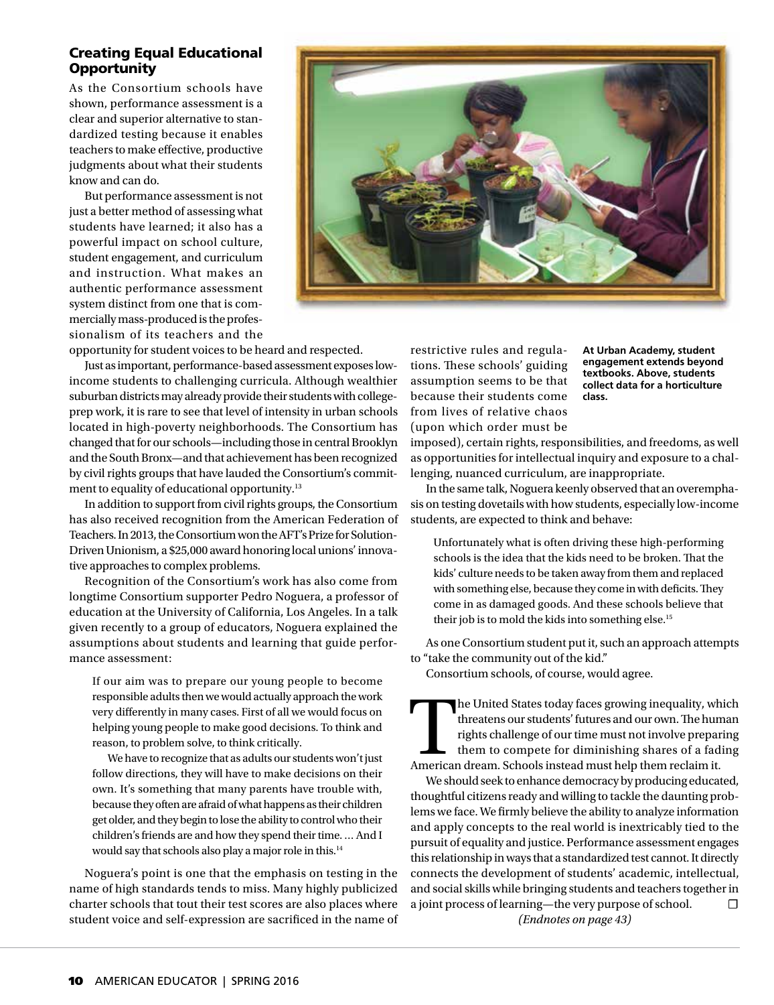### Creating Equal Educational **Opportunity**

As the Consortium schools have shown, performance assessment is a clear and superior alternative to standardized testing because it enables teachers to make effective, productive judgments about what their students know and can do.

But performance assessment is not just a better method of assessing what students have learned; it also has a powerful impact on school culture, student engagement, and curriculum and instruction. What makes an authentic performance assessment system distinct from one that is commercially mass-produced is the professionalism of its teachers and the



opportunity for student voices to be heard and respected.

Just as important, performance-based assessment exposes lowincome students to challenging curricula. Although wealthier suburban districts may already provide their students with collegeprep work, it is rare to see that level of intensity in urban schools located in high-poverty neighborhoods. The Consortium has changed that for our schools—including those in central Brooklyn and the South Bronx—and that achievement has been recognized by civil rights groups that have lauded the Consortium's commitment to equality of educational opportunity.13

In addition to support from civil rights groups, the Consortium has also received recognition from the American Federation of Teachers. In 2013, the Consortium won the AFT's Prize for Solution-Driven Unionism, a \$25,000 award honoring local unions' innovative approaches to complex problems.

Recognition of the Consortium's work has also come from longtime Consortium supporter Pedro Noguera, a professor of education at the University of California, Los Angeles. In a talk given recently to a group of educators, Noguera explained the assumptions about students and learning that guide performance assessment:

If our aim was to prepare our young people to become responsible adults then we would actually approach the work very differently in many cases. First of all we would focus on helping young people to make good decisions. To think and reason, to problem solve, to think critically.

We have to recognize that as adults our students won't just follow directions, they will have to make decisions on their own. It's something that many parents have trouble with, because they often are afraid of what happens as their children get older, and they begin to lose the ability to control who their children's friends are and how they spend their time. … And I would say that schools also play a major role in this.14

Noguera's point is one that the emphasis on testing in the name of high standards tends to miss. Many highly publicized charter schools that tout their test scores are also places where student voice and self-expression are sacrificed in the name of

restrictive rules and regulations. These schools' guiding assumption seems to be that because their students come from lives of relative chaos (upon which order must be **At Urban Academy, student engagement extends beyond textbooks. Above, students collect data for a horticulture class.**

imposed), certain rights, responsibilities, and freedoms, as well as opportunities for intellectual inquiry and exposure to a challenging, nuanced curriculum, are inappropriate.

In the same talk, Noguera keenly observed that an overemphasis on testing dovetails with how students, especially low-income students, are expected to think and behave:

Unfortunately what is often driving these high-performing schools is the idea that the kids need to be broken. That the kids' culture needs to be taken away from them and replaced with something else, because they come in with deficits. They come in as damaged goods. And these schools believe that their job is to mold the kids into something else.<sup>15</sup>

As one Consortium student put it, such an approach attempts to "take the community out of the kid."

Consortium schools, of course, would agree.

The United States today faces growing inequality, which threatens our students' futures and our own. The human rights challenge of our time must not involve preparing them to compete for diminishing shares of a fading Amer threatens our students' futures and our own. The human rights challenge of our time must not involve preparing them to compete for diminishing shares of a fading

We should seek to enhance democracy by producing educated, thoughtful citizens ready and willing to tackle the daunting problems we face. We firmly believe the ability to analyze information and apply concepts to the real world is inextricably tied to the pursuit of equality and justice. Performance assessment engages this relationship in ways that a standardized test cannot. It directly connects the development of students' academic, intellectual, and social skills while bringing students and teachers together in a joint process of learning—the very purpose of school.  $\Box$ *(Endnotes on page 43)*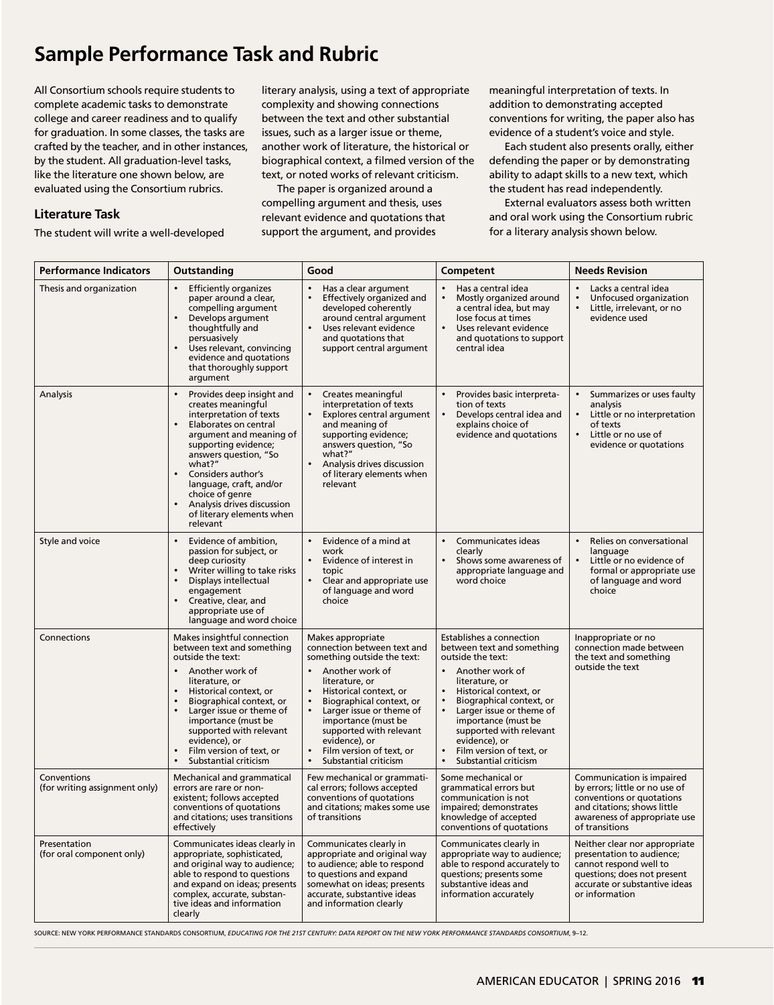### **Sample Performance Task and Rubric**

All Consortium schools require students to complete academic tasks to demonstrate college and career readiness and to qualify for graduation. In some classes, the tasks are crafted by the teacher, and in other instances, by the student. All graduation-level tasks, like the literature one shown below, are evaluated using the Consortium rubrics.

#### **Literature Task**

The student will write a well-developed

literary analysis, using a text of appropriate complexity and showing connections between the text and other substantial issues, such as a larger issue or theme, another work of literature, the historical or biographical context, a filmed version of the text, or noted works of relevant criticism.

The paper is organized around a compelling argument and thesis, uses relevant evidence and quotations that support the argument, and provides

meaningful interpretation of texts. In addition to demonstrating accepted conventions for writing, the paper also has evidence of a student's voice and style.

Each student also presents orally, either defending the paper or by demonstrating ability to adapt skills to a new text, which the student has read independently.

External evaluators assess both written and oral work using the Consortium rubric for a literary analysis shown below.

| <b>Performance Indicators</b>                | Outstanding                                                                                                                                                                                                                                                                                                                                       | Good                                                                                                                                                                                                                                                                                                                                                     | Competent                                                                                                                                                                                                                                                                                                                  | <b>Needs Revision</b>                                                                                                                                                     |
|----------------------------------------------|---------------------------------------------------------------------------------------------------------------------------------------------------------------------------------------------------------------------------------------------------------------------------------------------------------------------------------------------------|----------------------------------------------------------------------------------------------------------------------------------------------------------------------------------------------------------------------------------------------------------------------------------------------------------------------------------------------------------|----------------------------------------------------------------------------------------------------------------------------------------------------------------------------------------------------------------------------------------------------------------------------------------------------------------------------|---------------------------------------------------------------------------------------------------------------------------------------------------------------------------|
| Thesis and organization                      | <b>Efficiently organizes</b><br>paper around a clear,<br>compelling argument<br>Develops argument<br>thoughtfully and<br>persuasively<br>Uses relevant, convincing<br>evidence and quotations<br>that thoroughly support<br>argument                                                                                                              | Has a clear argument<br>Effectively organized and<br>developed coherently<br>around central argument<br>Uses relevant evidence<br>and quotations that<br>support central argument                                                                                                                                                                        | Has a central idea<br>Mostly organized around<br>a central idea, but may<br>lose focus at times<br>Uses relevant evidence<br>and quotations to support<br>central idea                                                                                                                                                     | Lacks a central idea<br>Unfocused organization<br>Little, irrelevant, or no<br>evidence used                                                                              |
| Analysis                                     | Provides deep insight and<br>creates meaningful<br>interpretation of texts<br>Elaborates on central<br>argument and meaning of<br>supporting evidence;<br>answers question, "So<br>what?"<br>Considers author's<br>$\bullet$<br>language, craft, and/or<br>choice of genre<br>Analysis drives discussion<br>of literary elements when<br>relevant | Creates meaningful<br>interpretation of texts<br>Explores central argument<br>and meaning of<br>supporting evidence;<br>answers question, "So<br>what?"<br>Analysis drives discussion<br>of literary elements when<br>relevant                                                                                                                           | Provides basic interpreta-<br>tion of texts<br>Develops central idea and<br>explains choice of<br>evidence and quotations                                                                                                                                                                                                  | Summarizes or uses faulty<br>analysis<br>Little or no interpretation<br>of texts<br>Little or no use of<br>evidence or quotations                                         |
| Style and voice                              | Evidence of ambition,<br>passion for subject, or<br>deep curiosity<br>Writer willing to take risks<br>Displays intellectual<br>$\bullet$<br>engagement<br>Creative, clear, and<br>appropriate use of<br>language and word choice                                                                                                                  | Evidence of a mind at<br>work<br>Evidence of interest in<br>topic<br>$\bullet$<br>Clear and appropriate use<br>of language and word<br>choice                                                                                                                                                                                                            | Communicates ideas<br>clearly<br>Shows some awareness of<br>appropriate language and<br>word choice                                                                                                                                                                                                                        | Relies on conversational<br>language<br>Little or no evidence of<br>formal or appropriate use<br>of language and word<br>choice                                           |
| Connections                                  | Makes insightful connection<br>between text and something<br>outside the text:<br>Another work of<br>literature, or<br>Historical context, or<br>Biographical context, or<br>Larger issue or theme of<br>importance (must be<br>supported with relevant<br>evidence), or<br>Film version of text, or<br>Substantial criticism                     | Makes appropriate<br>connection between text and<br>something outside the text:<br>Another work of<br>$\bullet$<br>literature, or<br>Historical context, or<br>Biographical context, or<br>Larger issue or theme of<br>importance (must be<br>supported with relevant<br>evidence), or<br>$\bullet$<br>Film version of text, or<br>Substantial criticism | Establishes a connection<br>between text and something<br>outside the text:<br>Another work of<br>literature, or<br>Historical context, or<br>Biographical context, or<br>Larger issue or theme of<br>importance (must be<br>supported with relevant<br>evidence), or<br>Film version of text, or<br>Substantial criticism | Inappropriate or no<br>connection made between<br>the text and something<br>outside the text                                                                              |
| Conventions<br>(for writing assignment only) | Mechanical and grammatical<br>errors are rare or non-<br>existent; follows accepted<br>conventions of quotations<br>and citations; uses transitions<br>effectively                                                                                                                                                                                | Few mechanical or grammati-<br>cal errors; follows accepted<br>conventions of quotations<br>and citations; makes some use<br>of transitions                                                                                                                                                                                                              | Some mechanical or<br>grammatical errors but<br>communication is not<br>impaired; demonstrates<br>knowledge of accepted<br>conventions of quotations                                                                                                                                                                       | Communication is impaired<br>by errors; little or no use of<br>conventions or quotations<br>and citations; shows little<br>awareness of appropriate use<br>of transitions |
| Presentation<br>(for oral component only)    | Communicates ideas clearly in<br>appropriate, sophisticated,<br>and original way to audience;<br>able to respond to questions<br>and expand on ideas; presents<br>complex, accurate, substan-<br>tive ideas and information<br>clearly                                                                                                            | Communicates clearly in<br>appropriate and original way<br>to audience; able to respond<br>to questions and expand<br>somewhat on ideas; presents<br>accurate, substantive ideas<br>and information clearly                                                                                                                                              | Communicates clearly in<br>appropriate way to audience;<br>able to respond accurately to<br>questions; presents some<br>substantive ideas and<br>information accurately                                                                                                                                                    | Neither clear nor appropriate<br>presentation to audience;<br>cannot respond well to<br>questions; does not present<br>accurate or substantive ideas<br>or information    |

SOURCE: NEW YORK PERFORMANCE STANDARDS CONSORTIUM, *EDUCATING FOR THE 21ST CENTURY: DATA REPORT ON THE NEW YORK PERFORMANCE STANDARDS CONSORTIUM*, 9–12.